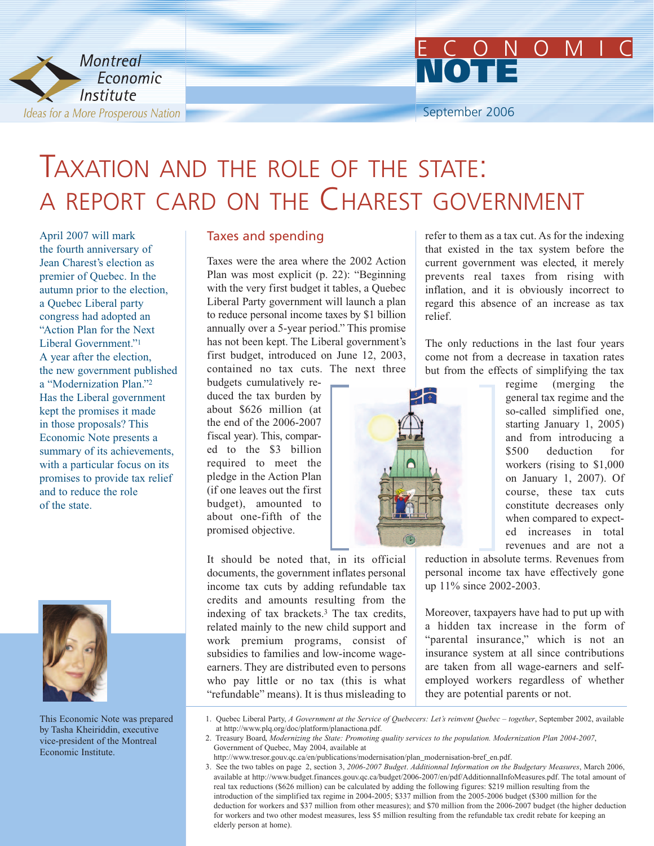



# TAXATION AND THE ROLE OF THE STATE: A REPORT CARD ON THE CHAREST GOVERNMENT

April 2007 will mark the fourth anniversary of Jean Charest's election as premier of Quebec. In the autumn prior to the election, a Quebec Liberal party congress had adopted an "Action Plan for the Next Liberal Government<sup>"1</sup> A year after the election, the new government published a "Modernization Plan."2 Has the Liberal government kept the promises it made in those proposals? This Economic Note presents a summary of its achievements, with a particular focus on its promises to provide tax relief and to reduce the role of the state.



This Economic Note was prepared by Tasha Kheiriddin, executive vice-president of the Montreal Economic Institute.

#### Taxes and spending

Taxes were the area where the 2002 Action Plan was most explicit (p. 22): "Beginning with the very first budget it tables, a Quebec Liberal Party government will launch a plan to reduce personal income taxes by \$1 billion annually over a 5-year period." This promise has not been kept. The Liberal government's first budget, introduced on June 12, 2003, contained no tax cuts. The next three

budgets cumulatively reduced the tax burden by about \$626 million (at the end of the 2006-2007 fiscal year). This, compared to the \$3 billion required to meet the pledge in the Action Plan (if one leaves out the first budget), amounted to about one-fifth of the promised objective.

It should be noted that, in its official documents, the government inflates personal income tax cuts by adding refundable tax credits and amounts resulting from the indexing of tax brackets.3 The tax credits, related mainly to the new child support and work premium programs, consist of subsidies to families and low-income wageearners. They are distributed even to persons who pay little or no tax (this is what "refundable" means). It is thus misleading to

refer to them as a tax cut. As for the indexing that existed in the tax system before the current government was elected, it merely prevents real taxes from rising with inflation, and it is obviously incorrect to regard this absence of an increase as tax relief.

The only reductions in the last four years come not from a decrease in taxation rates but from the effects of simplifying the tax



regime (merging the general tax regime and the so-called simplified one, starting January 1, 2005) and from introducing a \$500 deduction for workers (rising to \$1,000 on January 1, 2007). Of course, these tax cuts constitute decreases only when compared to expected increases in total revenues and are not a

reduction in absolute terms. Revenues from personal income tax have effectively gone up 11% since 2002-2003.

Moreover, taxpayers have had to put up with a hidden tax increase in the form of "parental insurance," which is not an insurance system at all since contributions are taken from all wage-earners and selfemployed workers regardless of whether they are potential parents or not.

- 2. Treasury Board, *Modernizing the State: Promoting quality services to the population. Modernization Plan 2004-2007*, Government of Quebec, May 2004, available at
- http://www.tresor.gouv.qc.ca/en/publications/modernisation/plan\_modernisation-bref\_en.pdf.

<sup>1.</sup> Quebec Liberal Party, *A Government at the Service of Quebecers: Let's reinvent Quebec – together*, September 2002, available at http://www.plq.org/doc/platform/planactiona.pdf.

<sup>3.</sup> See the two tables on page 2, section 3, *2006-2007 Budget*. *Additionnal Information on the Budgetary Measures*, March 2006, available at http://www.budget.finances.gouv.qc.ca/budget/2006-2007/en/pdf/AdditionnalInfoMeasures.pdf. The total amount of real tax reductions (\$626 million) can be calculated by adding the following figures: \$219 million resulting from the introduction of the simplified tax regime in 2004-2005; \$337 million from the 2005-2006 budget (\$300 million for the deduction for workers and \$37 million from other measures); and \$70 million from the 2006-2007 budget (the higher deduction for workers and two other modest measures, less \$5 million resulting from the refundable tax credit rebate for keeping an elderly person at home).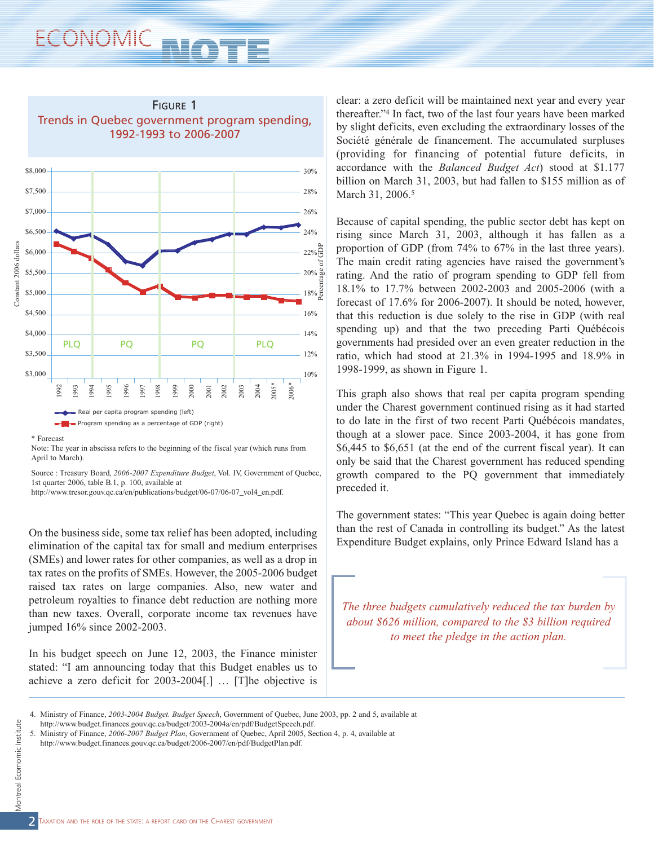

<sup>\*</sup> Forecast

Note: The year in abscissa refers to the beginning of the fiscal year (which runs from April to March).

Source : Treasury Board, *2006-2007 Expenditure Budget*, Vol. IV, Government of Quebec, 1st quarter 2006, table B.1, p. 100, available at

http://www.tresor.gouv.qc.ca/en/publications/budget/06-07/06-07\_vol4\_en.pdf.

On the business side, some tax relief has been adopted, including elimination of the capital tax for small and medium enterprises (SMEs) and lower rates for other companies, as well as a drop in tax rates on the profits of SMEs. However, the 2005-2006 budget raised tax rates on large companies. Also, new water and petroleum royalties to finance debt reduction are nothing more than new taxes. Overall, corporate income tax revenues have jumped 16% since 2002-2003.

In his budget speech on June 12, 2003, the Finance minister stated: "I am announcing today that this Budget enables us to achieve a zero deficit for 2003-2004[.] … [T]he objective is

clear: a zero deficit will be maintained next year and every year thereafter."4 In fact, two of the last four years have been marked by slight deficits, even excluding the extraordinary losses of the Société générale de financement. The accumulated surpluses (providing for financing of potential future deficits, in accordance with the *Balanced Budget Act*) stood at \$1.177 billion on March 31, 2003, but had fallen to \$155 million as of March 31, 2006.<sup>5</sup>

Because of capital spending, the public sector debt has kept on rising since March 31, 2003, although it has fallen as a proportion of GDP (from 74% to 67% in the last three years). The main credit rating agencies have raised the government's rating. And the ratio of program spending to GDP fell from 18.1% to 17.7% between 2002-2003 and 2005-2006 (with a forecast of 17.6% for 2006-2007). It should be noted, however, that this reduction is due solely to the rise in GDP (with real spending up) and that the two preceding Parti Québécois governments had presided over an even greater reduction in the ratio, which had stood at 21.3% in 1994-1995 and 18.9% in 1998-1999, as shown in Figure 1.

This graph also shows that real per capita program spending under the Charest government continued rising as it had started to do late in the first of two recent Parti Québécois mandates, though at a slower pace. Since 2003-2004, it has gone from \$6,445 to \$6,651 (at the end of the current fiscal year). It can only be said that the Charest government has reduced spending growth compared to the PQ government that immediately preceded it.

The government states: "This year Quebec is again doing better than the rest of Canada in controlling its budget." As the latest Expenditure Budget explains, only Prince Edward Island has a



http://www.budget.finances.gouv.qc.ca/budget/2006-2007/en/pdf/BudgetPlan.pdf.

<sup>4.</sup> Ministry of Finance, *2003-2004 Budget. Budget Speech*, Government of Quebec, June 2003, pp. 2 and 5, available at

http://www.budget.finances.gouv.qc.ca/budget/2003-2004a/en/pdf/BudgetSpeech.pdf.

<sup>5.</sup> Ministry of Finance, *2006-2007 Budget Plan*, Government of Quebec, April 2005, Section 4, p. 4, available at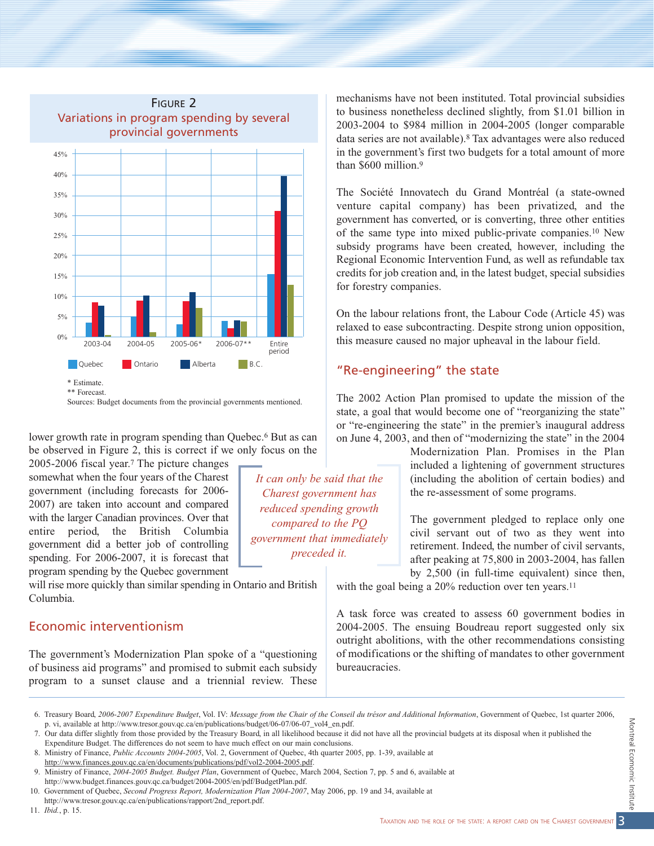

Sources: Budget documents from the provincial governments mentioned.

lower growth rate in program spending than Quebec.<sup>6</sup> But as can be observed in Figure 2, this is correct if we only focus on the

2005-2006 fiscal year.7 The picture changes somewhat when the four years of the Charest government (including forecasts for 2006- 2007) are taken into account and compared with the larger Canadian provinces. Over that entire period, the British Columbia government did a better job of controlling spending. For 2006-2007, it is forecast that program spending by the Quebec government

will rise more quickly than similar spending in Ontario and British Columbia.

#### Economic interventionism

The government's Modernization Plan spoke of a "questioning of business aid programs" and promised to submit each subsidy program to a sunset clause and a triennial review. These

mechanisms have not been instituted. Total provincial subsidies to business nonetheless declined slightly, from \$1.01 billion in 2003-2004 to \$984 million in 2004-2005 (longer comparable data series are not available).8 Tax advantages were also reduced in the government's first two budgets for a total amount of more than \$600 million.<sup>9</sup>

The Société Innovatech du Grand Montréal (a state-owned venture capital company) has been privatized, and the government has converted, or is converting, three other entities of the same type into mixed public-private companies.10 New subsidy programs have been created, however, including the Regional Economic Intervention Fund, as well as refundable tax credits for job creation and, in the latest budget, special subsidies for forestry companies.

On the labour relations front, the Labour Code (Article 45) was relaxed to ease subcontracting. Despite strong union opposition, this measure caused no major upheaval in the labour field.

### "Re-engineering" the state

The 2002 Action Plan promised to update the mission of the state, a goal that would become one of "reorganizing the state" or "re-engineering the state" in the premier's inaugural address on June 4, 2003, and then of "modernizing the state" in the 2004

> Modernization Plan. Promises in the Plan included a lightening of government structures (including the abolition of certain bodies) and the re-assessment of some programs.

> The government pledged to replace only one civil servant out of two as they went into retirement. Indeed, the number of civil servants, after peaking at 75,800 in 2003-2004, has fallen by 2,500 (in full-time equivalent) since then,

with the goal being a 20% reduction over ten years.<sup>11</sup>

A task force was created to assess 60 government bodies in 2004-2005. The ensuing Boudreau report suggested only six outright abolitions, with the other recommendations consisting of modifications or the shifting of mandates to other government bureaucracies.

*It can only be said that the Charest government has reduced spending growth compared to the PQ government that immediately preceded it.*

<sup>6.</sup> Treasury Board, *2006-2007 Expenditure Budget*, Vol. IV: *Message from the Chair of the Conseil du trésor and Additional Information*, Government of Quebec, 1st quarter 2006, p. vi, available at http://www.tresor.gouv.qc.ca/en/publications/budget/06-07/06-07\_vol4\_en.pdf.

<sup>7.</sup> Our data differ slightly from those provided by the Treasury Board, in all likelihood because it did not have all the provincial budgets at its disposal when it published the Expenditure Budget. The differences do not seem to have much effect on our main conclusions.

<sup>8.</sup> Ministry of Finance, *Public Accounts 2004-2005*, Vol. 2, Government of Quebec, 4th quarter 2005, pp. 1-39, available at http://www.finances.gouv.qc.ca/en/documents/publications/pdf/vol2-2004-2005.pdf.

<sup>9.</sup> Ministry of Finance, *2004-2005 Budget. Budget Plan*, Government of Quebec, March 2004, Section 7, pp. 5 and 6, available at http://www.budget.finances.gouv.qc.ca/budget/2004-2005/en/pdf/BudgetPlan.pdf.

<sup>10.</sup> Government of Quebec, *Second Progress Report, Modernization Plan 2004-2007*, May 2006, pp. 19 and 34, available at http://www.tresor.gouv.qc.ca/en/publications/rapport/2nd\_report.pdf.